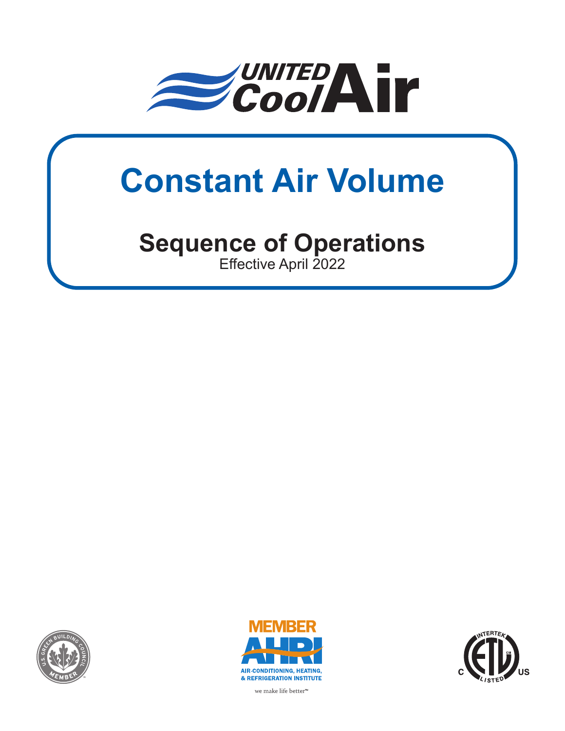

# **Constant Air Volume**

# **Sequence of Operations**

Effective April 2022







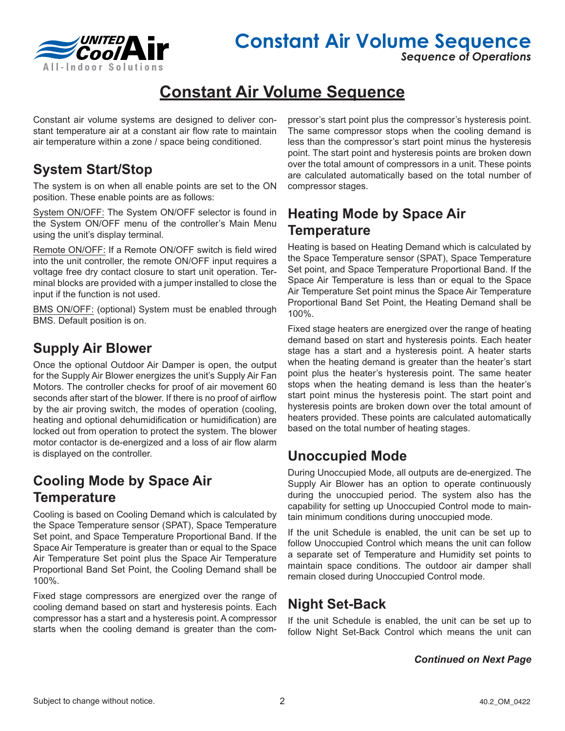

*Sequence of Operations*

# **Constant Air Volume Sequence**

Constant air volume systems are designed to deliver constant temperature air at a constant air flow rate to maintain air temperature within a zone / space being conditioned.

# **System Start/Stop**

The system is on when all enable points are set to the ON position. These enable points are as follows:

System ON/OFF: The System ON/OFF selector is found in the System ON/OFF menu of the controller's Main Menu using the unit's display terminal.

Remote ON/OFF: If a Remote ON/OFF switch is field wired into the unit controller, the remote ON/OFF input requires a voltage free dry contact closure to start unit operation. Terminal blocks are provided with a jumper installed to close the input if the function is not used.

BMS ON/OFF: (optional) System must be enabled through BMS. Default position is on.

# **Supply Air Blower**

Once the optional Outdoor Air Damper is open, the output for the Supply Air Blower energizes the unit's Supply Air Fan Motors. The controller checks for proof of air movement 60 seconds after start of the blower. If there is no proof of airflow by the air proving switch, the modes of operation (cooling, heating and optional dehumidification or humidification) are locked out from operation to protect the system. The blower motor contactor is de-energized and a loss of air flow alarm is displayed on the controller.

# **Cooling Mode by Space Air Temperature**

Cooling is based on Cooling Demand which is calculated by the Space Temperature sensor (SPAT), Space Temperature Set point, and Space Temperature Proportional Band. If the Space Air Temperature is greater than or equal to the Space Air Temperature Set point plus the Space Air Temperature Proportional Band Set Point, the Cooling Demand shall be 100%.

Fixed stage compressors are energized over the range of cooling demand based on start and hysteresis points. Each compressor has a start and a hysteresis point. A compressor starts when the cooling demand is greater than the compressor's start point plus the compressor's hysteresis point. The same compressor stops when the cooling demand is less than the compressor's start point minus the hysteresis point. The start point and hysteresis points are broken down over the total amount of compressors in a unit. These points are calculated automatically based on the total number of compressor stages.

# **Heating Mode by Space Air Temperature**

Heating is based on Heating Demand which is calculated by the Space Temperature sensor (SPAT), Space Temperature Set point, and Space Temperature Proportional Band. If the Space Air Temperature is less than or equal to the Space Air Temperature Set point minus the Space Air Temperature Proportional Band Set Point, the Heating Demand shall be 100%.

Fixed stage heaters are energized over the range of heating demand based on start and hysteresis points. Each heater stage has a start and a hysteresis point. A heater starts when the heating demand is greater than the heater's start point plus the heater's hysteresis point. The same heater stops when the heating demand is less than the heater's start point minus the hysteresis point. The start point and hysteresis points are broken down over the total amount of heaters provided. These points are calculated automatically based on the total number of heating stages.

# **Unoccupied Mode**

During Unoccupied Mode, all outputs are de-energized. The Supply Air Blower has an option to operate continuously during the unoccupied period. The system also has the capability for setting up Unoccupied Control mode to maintain minimum conditions during unoccupied mode.

If the unit Schedule is enabled, the unit can be set up to follow Unoccupied Control which means the unit can follow a separate set of Temperature and Humidity set points to maintain space conditions. The outdoor air damper shall remain closed during Unoccupied Control mode.

# **Night Set-Back**

If the unit Schedule is enabled, the unit can be set up to follow Night Set-Back Control which means the unit can

*Continued on Next Page*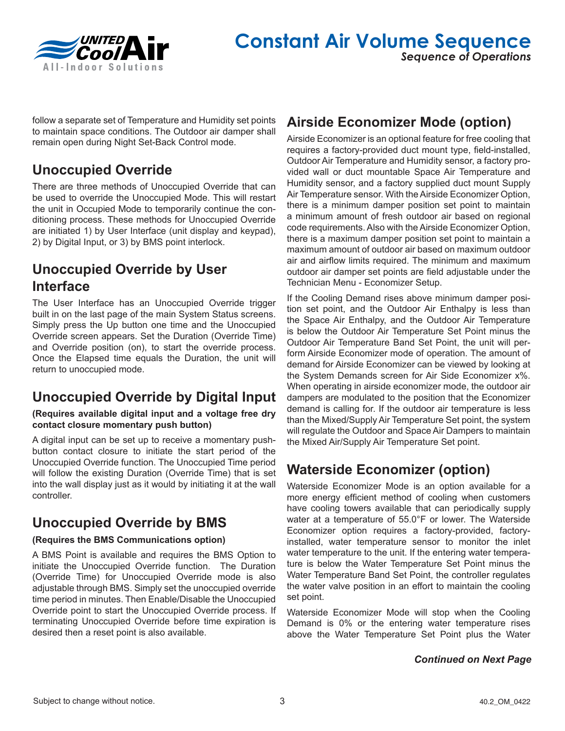

follow a separate set of Temperature and Humidity set points to maintain space conditions. The Outdoor air damper shall remain open during Night Set-Back Control mode.

# **Unoccupied Override**

There are three methods of Unoccupied Override that can be used to override the Unoccupied Mode. This will restart the unit in Occupied Mode to temporarily continue the conditioning process. These methods for Unoccupied Override are initiated 1) by User Interface (unit display and keypad), 2) by Digital Input, or 3) by BMS point interlock.

# **Unoccupied Override by User Interface**

The User Interface has an Unoccupied Override trigger built in on the last page of the main System Status screens. Simply press the Up button one time and the Unoccupied Override screen appears. Set the Duration (Override Time) and Override position (on), to start the override process. Once the Elapsed time equals the Duration, the unit will return to unoccupied mode.

# **Unoccupied Override by Digital Input**

#### **(Requires available digital input and a voltage free dry contact closure momentary push button)**

A digital input can be set up to receive a momentary pushbutton contact closure to initiate the start period of the Unoccupied Override function. The Unoccupied Time period will follow the existing Duration (Override Time) that is set into the wall display just as it would by initiating it at the wall controller.

# **Unoccupied Override by BMS**

#### **(Requires the BMS Communications option)**

A BMS Point is available and requires the BMS Option to initiate the Unoccupied Override function. The Duration (Override Time) for Unoccupied Override mode is also adjustable through BMS. Simply set the unoccupied override time period in minutes. Then Enable/Disable the Unoccupied Override point to start the Unoccupied Override process. If terminating Unoccupied Override before time expiration is desired then a reset point is also available.

# **Airside Economizer Mode (option)**

Airside Economizer is an optional feature for free cooling that requires a factory-provided duct mount type, field-installed, Outdoor Air Temperature and Humidity sensor, a factory provided wall or duct mountable Space Air Temperature and Humidity sensor, and a factory supplied duct mount Supply Air Temperature sensor. With the Airside Economizer Option, there is a minimum damper position set point to maintain a minimum amount of fresh outdoor air based on regional code requirements. Also with the Airside Economizer Option, there is a maximum damper position set point to maintain a maximum amount of outdoor air based on maximum outdoor air and airflow limits required. The minimum and maximum outdoor air damper set points are field adjustable under the Technician Menu - Economizer Setup.

If the Cooling Demand rises above minimum damper position set point, and the Outdoor Air Enthalpy is less than the Space Air Enthalpy, and the Outdoor Air Temperature is below the Outdoor Air Temperature Set Point minus the Outdoor Air Temperature Band Set Point, the unit will perform Airside Economizer mode of operation. The amount of demand for Airside Economizer can be viewed by looking at the System Demands screen for Air Side Economizer x%. When operating in airside economizer mode, the outdoor air dampers are modulated to the position that the Economizer demand is calling for. If the outdoor air temperature is less than the Mixed/Supply Air Temperature Set point, the system will regulate the Outdoor and Space Air Dampers to maintain the Mixed Air/Supply Air Temperature Set point.

# **Waterside Economizer (option)**

Waterside Economizer Mode is an option available for a more energy efficient method of cooling when customers have cooling towers available that can periodically supply water at a temperature of 55.0°F or lower. The Waterside Economizer option requires a factory-provided, factoryinstalled, water temperature sensor to monitor the inlet water temperature to the unit. If the entering water temperature is below the Water Temperature Set Point minus the Water Temperature Band Set Point, the controller regulates the water valve position in an effort to maintain the cooling set point.

Waterside Economizer Mode will stop when the Cooling Demand is 0% or the entering water temperature rises above the Water Temperature Set Point plus the Water

#### *Continued on Next Page*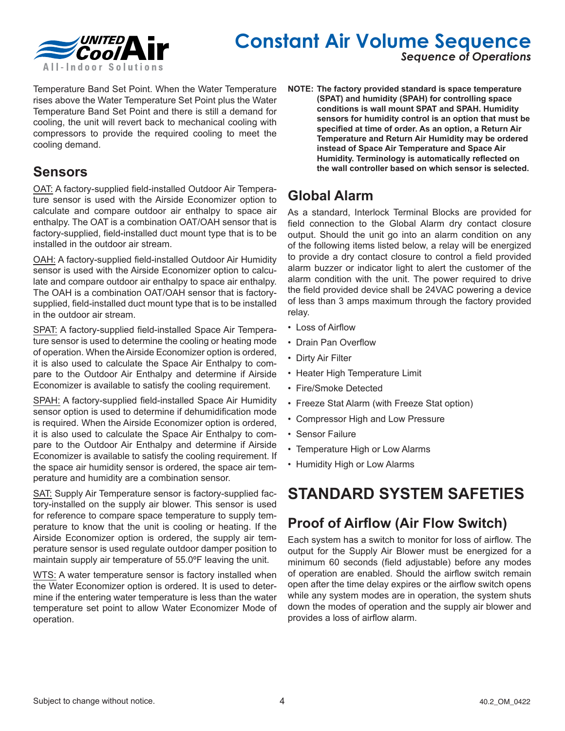

# **Constant Air Volume Sequence**

*Sequence of Operations*

Temperature Band Set Point. When the Water Temperature rises above the Water Temperature Set Point plus the Water Temperature Band Set Point and there is still a demand for cooling, the unit will revert back to mechanical cooling with compressors to provide the required cooling to meet the cooling demand.

## **Sensors**

OAT: A factory-supplied field-installed Outdoor Air Temperature sensor is used with the Airside Economizer option to calculate and compare outdoor air enthalpy to space air enthalpy. The OAT is a combination OAT/OAH sensor that is factory-supplied, field-installed duct mount type that is to be installed in the outdoor air stream.

OAH: A factory-supplied field-installed Outdoor Air Humidity sensor is used with the Airside Economizer option to calculate and compare outdoor air enthalpy to space air enthalpy. The OAH is a combination OAT/OAH sensor that is factorysupplied, field-installed duct mount type that is to be installed in the outdoor air stream.

SPAT: A factory-supplied field-installed Space Air Temperature sensor is used to determine the cooling or heating mode of operation. When the Airside Economizer option is ordered, it is also used to calculate the Space Air Enthalpy to compare to the Outdoor Air Enthalpy and determine if Airside Economizer is available to satisfy the cooling requirement.

SPAH: A factory-supplied field-installed Space Air Humidity sensor option is used to determine if dehumidification mode is required. When the Airside Economizer option is ordered, it is also used to calculate the Space Air Enthalpy to compare to the Outdoor Air Enthalpy and determine if Airside Economizer is available to satisfy the cooling requirement. If the space air humidity sensor is ordered, the space air temperature and humidity are a combination sensor.

SAT: Supply Air Temperature sensor is factory-supplied factory-installed on the supply air blower. This sensor is used for reference to compare space temperature to supply temperature to know that the unit is cooling or heating. If the Airside Economizer option is ordered, the supply air temperature sensor is used regulate outdoor damper position to maintain supply air temperature of 55.0ºF leaving the unit.

WTS: A water temperature sensor is factory installed when the Water Economizer option is ordered. It is used to determine if the entering water temperature is less than the water temperature set point to allow Water Economizer Mode of operation.

**NOTE: The factory provided standard is space temperature (SPAT) and humidity (SPAH) for controlling space conditions is wall mount SPAT and SPAH. Humidity sensors for humidity control is an option that must be specified at time of order. As an option, a Return Air Temperature and Return Air Humidity may be ordered instead of Space Air Temperature and Space Air Humidity. Terminology is automatically reflected on the wall controller based on which sensor is selected.**

# **Global Alarm**

As a standard, Interlock Terminal Blocks are provided for field connection to the Global Alarm dry contact closure output. Should the unit go into an alarm condition on any of the following items listed below, a relay will be energized to provide a dry contact closure to control a field provided alarm buzzer or indicator light to alert the customer of the alarm condition with the unit. The power required to drive the field provided device shall be 24VAC powering a device of less than 3 amps maximum through the factory provided relay.

- Loss of Airflow
- Drain Pan Overflow
- Dirty Air Filter
- Heater High Temperature Limit
- Fire/Smoke Detected
- Freeze Stat Alarm (with Freeze Stat option)
- Compressor High and Low Pressure
- Sensor Failure
- Temperature High or Low Alarms
- Humidity High or Low Alarms

# **STANDARD SYSTEM SAFETIES**

# **Proof of Airflow (Air Flow Switch)**

Each system has a switch to monitor for loss of airflow. The output for the Supply Air Blower must be energized for a minimum 60 seconds (field adjustable) before any modes of operation are enabled. Should the airflow switch remain open after the time delay expires or the airflow switch opens while any system modes are in operation, the system shuts down the modes of operation and the supply air blower and provides a loss of airflow alarm.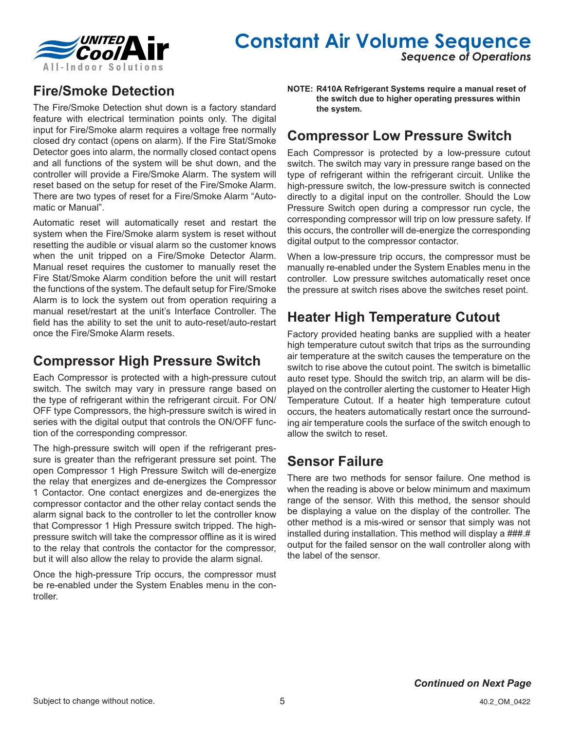

# **Constant Air Volume Sequence**

*Sequence of Operations*

# **Fire/Smoke Detection**

The Fire/Smoke Detection shut down is a factory standard feature with electrical termination points only. The digital input for Fire/Smoke alarm requires a voltage free normally closed dry contact (opens on alarm). If the Fire Stat/Smoke Detector goes into alarm, the normally closed contact opens and all functions of the system will be shut down, and the controller will provide a Fire/Smoke Alarm. The system will reset based on the setup for reset of the Fire/Smoke Alarm. There are two types of reset for a Fire/Smoke Alarm "Automatic or Manual".

Automatic reset will automatically reset and restart the system when the Fire/Smoke alarm system is reset without resetting the audible or visual alarm so the customer knows when the unit tripped on a Fire/Smoke Detector Alarm. Manual reset requires the customer to manually reset the Fire Stat/Smoke Alarm condition before the unit will restart the functions of the system. The default setup for Fire/Smoke Alarm is to lock the system out from operation requiring a manual reset/restart at the unit's Interface Controller. The field has the ability to set the unit to auto-reset/auto-restart once the Fire/Smoke Alarm resets.

# **Compressor High Pressure Switch**

Each Compressor is protected with a high-pressure cutout switch. The switch may vary in pressure range based on the type of refrigerant within the refrigerant circuit. For ON/ OFF type Compressors, the high-pressure switch is wired in series with the digital output that controls the ON/OFF function of the corresponding compressor.

The high-pressure switch will open if the refrigerant pressure is greater than the refrigerant pressure set point. The open Compressor 1 High Pressure Switch will de-energize the relay that energizes and de-energizes the Compressor 1 Contactor. One contact energizes and de-energizes the compressor contactor and the other relay contact sends the alarm signal back to the controller to let the controller know that Compressor 1 High Pressure switch tripped. The highpressure switch will take the compressor offline as it is wired to the relay that controls the contactor for the compressor, but it will also allow the relay to provide the alarm signal.

Once the high-pressure Trip occurs, the compressor must be re-enabled under the System Enables menu in the controller.

**NOTE: R410A Refrigerant Systems require a manual reset of the switch due to higher operating pressures within the system.**

## **Compressor Low Pressure Switch**

Each Compressor is protected by a low-pressure cutout switch. The switch may vary in pressure range based on the type of refrigerant within the refrigerant circuit. Unlike the high-pressure switch, the low-pressure switch is connected directly to a digital input on the controller. Should the Low Pressure Switch open during a compressor run cycle, the corresponding compressor will trip on low pressure safety. If this occurs, the controller will de-energize the corresponding digital output to the compressor contactor.

When a low-pressure trip occurs, the compressor must be manually re-enabled under the System Enables menu in the controller. Low pressure switches automatically reset once the pressure at switch rises above the switches reset point.

# **Heater High Temperature Cutout**

Factory provided heating banks are supplied with a heater high temperature cutout switch that trips as the surrounding air temperature at the switch causes the temperature on the switch to rise above the cutout point. The switch is bimetallic auto reset type. Should the switch trip, an alarm will be displayed on the controller alerting the customer to Heater High Temperature Cutout. If a heater high temperature cutout occurs, the heaters automatically restart once the surrounding air temperature cools the surface of the switch enough to allow the switch to reset.

# **Sensor Failure**

There are two methods for sensor failure. One method is when the reading is above or below minimum and maximum range of the sensor. With this method, the sensor should be displaying a value on the display of the controller. The other method is a mis-wired or sensor that simply was not installed during installation. This method will display a ###.# output for the failed sensor on the wall controller along with the label of the sensor.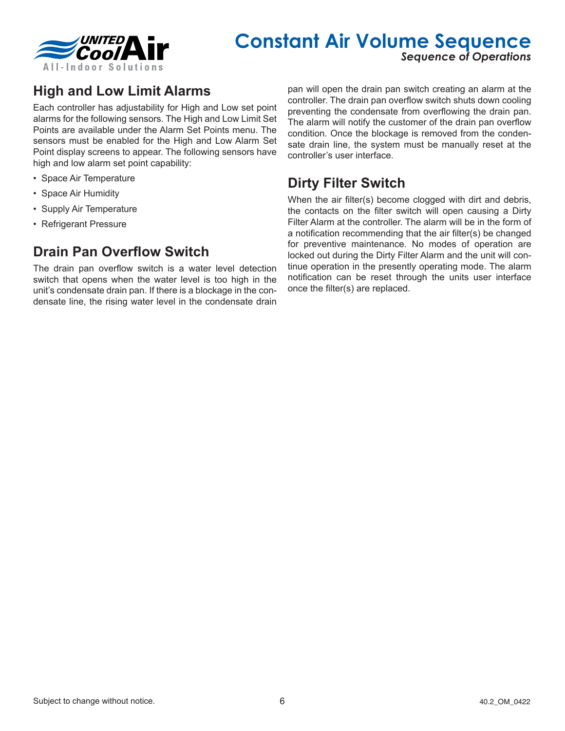

# **Constant Air Volume Sequence**

*Sequence of Operations*

# **High and Low Limit Alarms**

Each controller has adjustability for High and Low set point alarms for the following sensors. The High and Low Limit Set Points are available under the Alarm Set Points menu. The sensors must be enabled for the High and Low Alarm Set Point display screens to appear. The following sensors have high and low alarm set point capability:

- Space Air Temperature
- Space Air Humidity
- Supply Air Temperature
- Refrigerant Pressure

## **Drain Pan Overflow Switch**

The drain pan overflow switch is a water level detection switch that opens when the water level is too high in the unit's condensate drain pan. If there is a blockage in the condensate line, the rising water level in the condensate drain pan will open the drain pan switch creating an alarm at the controller. The drain pan overflow switch shuts down cooling preventing the condensate from overflowing the drain pan. The alarm will notify the customer of the drain pan overflow condition. Once the blockage is removed from the condensate drain line, the system must be manually reset at the controller's user interface.

### **Dirty Filter Switch**

When the air filter(s) become clogged with dirt and debris, the contacts on the filter switch will open causing a Dirty Filter Alarm at the controller. The alarm will be in the form of a notification recommending that the air filter(s) be changed for preventive maintenance. No modes of operation are locked out during the Dirty Filter Alarm and the unit will continue operation in the presently operating mode. The alarm notification can be reset through the units user interface once the filter(s) are replaced.